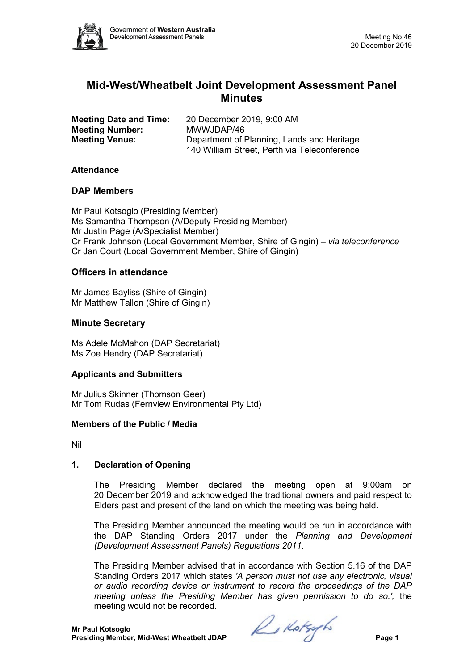

# **Mid-West/Wheatbelt Joint Development Assessment Panel Minutes**

| <b>Meeting Date and Time:</b> | 20 December 2019, 9:00 AM                    |
|-------------------------------|----------------------------------------------|
| <b>Meeting Number:</b>        | MWWJDAP/46                                   |
| <b>Meeting Venue:</b>         | Department of Planning, Lands and Heritage   |
|                               | 140 William Street, Perth via Teleconference |

#### **Attendance**

#### **DAP Members**

Mr Paul Kotsoglo (Presiding Member) Ms Samantha Thompson (A/Deputy Presiding Member) Mr Justin Page (A/Specialist Member) Cr Frank Johnson (Local Government Member, Shire of Gingin) *– via teleconference* Cr Jan Court (Local Government Member, Shire of Gingin)

# **Officers in attendance**

Mr James Bayliss (Shire of Gingin) Mr Matthew Tallon (Shire of Gingin)

# **Minute Secretary**

Ms Adele McMahon (DAP Secretariat) Ms Zoe Hendry (DAP Secretariat)

# **Applicants and Submitters**

Mr Julius Skinner (Thomson Geer) Mr Tom Rudas (Fernview Environmental Pty Ltd)

#### **Members of the Public / Media**

Nil

# **1. Declaration of Opening**

The Presiding Member declared the meeting open at 9:00am on 20 December 2019 and acknowledged the traditional owners and paid respect to Elders past and present of the land on which the meeting was being held.

The Presiding Member announced the meeting would be run in accordance with the DAP Standing Orders 2017 under the *Planning and Development (Development Assessment Panels) Regulations 2011*.

The Presiding Member advised that in accordance with Section 5.16 of the DAP Standing Orders 2017 which states *'A person must not use any electronic, visual or audio recording device or instrument to record the proceedings of the DAP meeting unless the Presiding Member has given permission to do so.',* the meeting would not be recorded.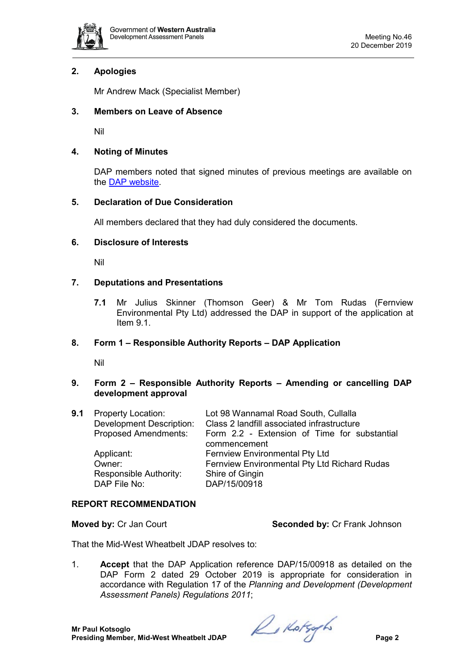

# **2. Apologies**

Mr Andrew Mack (Specialist Member)

#### **3. Members on Leave of Absence**

Nil

#### **4. Noting of Minutes**

DAP members noted that signed minutes of previous meetings are available on the [DAP website.](https://www.dplh.wa.gov.au/about/development-assessment-panels/daps-agendas-and-minutes)

# **5. Declaration of Due Consideration**

All members declared that they had duly considered the documents.

#### **6. Disclosure of Interests**

Nil

# **7. Deputations and Presentations**

**7.1** Mr Julius Skinner (Thomson Geer) & Mr Tom Rudas (Fernview Environmental Pty Ltd) addressed the DAP in support of the application at Item 9.1.

# **8. Form 1 – Responsible Authority Reports – DAP Application**

Nil

# **9. Form 2 – Responsible Authority Reports – Amending or cancelling DAP development approval**

| 9.1 | <b>Property Location:</b><br><b>Development Description:</b><br><b>Proposed Amendments:</b> | Lot 98 Wannamal Road South, Cullalla<br>Class 2 landfill associated infrastructure<br>Form 2.2 - Extension of Time for substantial |
|-----|---------------------------------------------------------------------------------------------|------------------------------------------------------------------------------------------------------------------------------------|
|     |                                                                                             | commencement                                                                                                                       |
|     | Applicant:                                                                                  | <b>Fernview Environmental Pty Ltd</b>                                                                                              |
|     | Owner:                                                                                      | Fernview Environmental Pty Ltd Richard Rudas                                                                                       |
|     | Responsible Authority:                                                                      | Shire of Gingin                                                                                                                    |
|     | DAP File No:                                                                                | DAP/15/00918                                                                                                                       |
|     |                                                                                             |                                                                                                                                    |

#### **REPORT RECOMMENDATION**

**Moved by:** Cr Jan Court **Seconded by:** Cr Frank Johnson

That the Mid-West Wheatbelt JDAP resolves to:

1. **Accept** that the DAP Application reference DAP/15/00918 as detailed on the DAP Form 2 dated 29 October 2019 is appropriate for consideration in accordance with Regulation 17 of the *Planning and Development (Development Assessment Panels) Regulations 2011*;